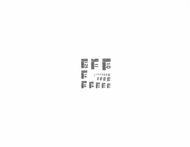

 $\mathbb{R}^+$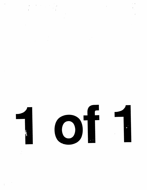$\mathcal{A}(\mathcal{A})$  and  $\mathcal{A}(\mathcal{A})$  $\sim 10^{11}$  km  $^{-1}$  $\sim 10^{-1}$ 

 $\label{eq:2.1} \begin{split} \mathcal{L}_{\text{max}}(\mathbf{r},\mathbf{r}) & = \mathcal{L}_{\text{max}}(\mathbf{r},\mathbf{r}) \\ & = \mathcal{L}_{\text{max}}(\mathbf{r},\mathbf{r}) + \mathcal{L}_{\text{max}}(\mathbf{r},\mathbf{r}) \\ & = \mathcal{L}_{\text{max}}(\mathbf{r},\mathbf{r}) + \mathcal{L}_{\text{max}}(\mathbf{r},\mathbf{r}) \\ & = \mathcal{L}_{\text{max}}(\mathbf{r},\mathbf{r}) + \mathcal{L}_{\text{max}}(\mathbf{r},\mathbf{r}) \\ & = \mathcal{L$ 

 $\label{eq:2} \frac{1}{\sqrt{2}}\sum_{i=1}^n\frac{1}{\sqrt{2}}\sum_{i=1}^n\frac{1}{\sqrt{2}}\sum_{i=1}^n\frac{1}{\sqrt{2}}\sum_{i=1}^n\frac{1}{\sqrt{2}}\sum_{i=1}^n\frac{1}{\sqrt{2}}\sum_{i=1}^n\frac{1}{\sqrt{2}}\sum_{i=1}^n\frac{1}{\sqrt{2}}\sum_{i=1}^n\frac{1}{\sqrt{2}}\sum_{i=1}^n\frac{1}{\sqrt{2}}\sum_{i=1}^n\frac{1}{\sqrt{2}}\sum_{i=1}^n\frac{1$ 

Of 1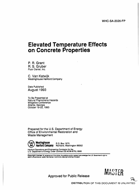## **Elevated Temperature Effects** on Concrete Properties

P. R. Grant R. S. Gruber Fluor Daniel, Inc.

C. Van Katwijk **Westinghouse Hanford Company** 

Date Published August 1993

To Be Presented at Natural Phenomena Hazards **Mitigation Conference** Atlanta, Georgia October 19-22, 1993

Prepared for the U.S. Department of Energy Office of Environmental Restoration and **Waste Management** 



Hanford Company Richland, Washington 99352

Hanford Operations and Engineering Contractor for the<br>U.S. Department of Energy under Contract DE-AC06-87RL10930

Copyright License By acceptance of this article, the publisher and/or recipient acknowledges the U.S. Government's right to retain a nonexclusive, royalty-free license in and to any copyright covering this paper.

MASTER

**Approved for Public Release**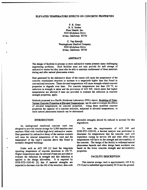## **ELEVA***T***ED TEMPERATURE EFFECTS ON CONCRETE PR**O**PERTIES**

**P. R. Grant R. S.** *G***r**u**b**e**r FhtorDa**n**i**e**l, Inc.** 3333 **Mich**e**lson Driv**e **Irvin**e*,* **Ca**l**ifornia 927**3**0**

**C. V**an **Kat**w**i**j**k " W**e**stinghous**e**HanfordCompany** 333**3 Mich**e**ls**o**n Driv**e **Irvin**e**,***C***alifornia 92730**

### **ABSTRACT**

**Th**e **d**e**signo**f f**acil**i**ti**e**sto process or** sto**re radi**o**ac**tive**wastespr**e**sents**m**any chall**en**gin**g **engineer**i**ng problems. Such facilities m**u**st not only provid**e **for safe storage of radioactivew**as**tes butthey m**u**st** al**so be able to** *m***a**i**nta**in**con**fi**nem**e**ntof** th**ese mate**ri**als d**u**r**i**ng and**a**fter** n**a**tu**ralph**e**nomena**e**v**e**nts.**

Heat generated by the radioactive decay of the wastes will cause the temperature of the co**n**c**r**e**te** co**ntainm**e**ntstructu**re **to in**c**rease to a** ma**gn**itu**de h**i**gh**e**r** th**a**n th**at fo**u**nd** in co**nventi**o**nalstru**ctu**res.** Th**ese ele**v**ated**te**mperatur**es**will ca**u**se st**re**ng**th**-r**e**latedcon**c**rete** properties to degrade over time. For concrete temperatures less than 150 °F, no **r**e**d**uc**tion**in **strengthis tak**en a**nd** th**e provisio**n**s of ACI 3**4**9, w**hic**h states** tha**t** hi**gher** te**mpe**ra**tur**es **ar**e **allow**e**d if t**e**sts** ar**e provided** to e**v**al**ua**te **the r**e**du**c**tion**in co**n**c**re**te strength properties, apply.

**Me**th**odsproposed**in a **Pa**c**i**fic **Northw**es**tLabo**ra**tory(PNL) repo**rt**, Modeling of Time-VariantConcretepro***v***ertiesatElevatedTem***v***eratures,can**be **usedto** e**v**al**ua**te the eff**ec**ts **of el**e**vat**ed te**mpe**ra**tures on concr**ete p**ro**pert**i**es**. Us**ing **these m**od**i**fied co**ncrete** p**ro**pert**i**es th**e** ca**pacity of a** co**n**cre**te stru**c**ture***,***subjectedto** e**l**e**vated** te**mperature**s*,***to r**esi**st naturalph**e**nomenaha**z**ardscan**be **d**e**term**i**ned.**

**An** un**d**e**rgro**un**d r**ein**forced c**o**ncr**e**te vault wa**s designed to provide interim storage for 2,000 stainless steel To meet the requirements of ACI 349 and<br>canisters filled with vitrified high-level radioactive wastes. DOE-STD-1020-92, a thermal analysis was performed to canisters filled with vitrified high-level radioactive wastes. DOE-STD-1020-92, a thermal analysis was performed to<br>Heat generated by radioactive decay of the canister contents determine the temperatures that the concrete Heat generated by radioactive decay of the canister contents determine the temperatures that the concrete vault will<br>will raise the internal temperature of the vault and the experience during its service life and what effe will raise the internal temperature of the vault and the experience during its service life and what effect those<br>temperature of the vault's concrete above that found in temperatures will have on the strength and serviceab temperature of the vault's concrete above that found in normally designed buildings.

Codes such as  $ACI$  349 [1] limit the long-term based on ting temperature of concrete structures to  $150 °F$ . properties. **operating** temperature of concrete structures to 150 °F. **H**i**gher**te**mpe**ra**tur**es**may** be al**lowedif tes**ts **are provid**edto eval**ua**te the **r**e**d**ucti**o**n **in strength** a**nd** thi**sreductiois**n **FACILITY DESCRI***F***FION appli**ed to the **d**es**i**gn **allowabl**e**s. It i**s **r**e**quir**e**d by** DOE-STD-1020-92 [2] that if material strengths are This interim storage vault is approximately 165 ft by expected to decrease over the life of the structure, then code 175 ft and is embedded approximately 50 ft into the gr expected to decrease over the life of the structure, then code

**INTRODUCTION** al**lowable** s**tr**e**ngthsshould be r**ed**u**ce**d to account for th***/*s **d**e**gradation.**

> **he** concrete. The design of the facility to withstand natural **ph**e**nom**e**nahazards** an**d o**the**r d**es**i**gn **b**as**is a**cc**id**e**nts was**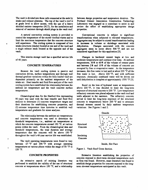The vault is divided into three cells connected at the ends by intake and exhaust plenums. The top of the vault's roof is at grade level to allow access, with the use of a heavy shielded canister transporter (SCT), for the installation and removal of canisters through shield plugs in the vault roof.

A natural convection cooling system is provided to control the temperature of the stored vitrified wastes and to limit the maximum temperature that the concrete structure will experience. The cooling system is composed of two intake structures (stacks) located at one end of the vault and a single exhaust stack located at the opposite end of the vault.

This interim storage vault has a specified service life of 40 years.

## **CONCRETE TEMPERATURES**

Because the vault cooling system is passive and convection driven, surface temperatures and through wall thermal-gradient variations within the fully loaded vault are dependent primarily on the ambient temperature of the intake air. Heat transfer and fluid flow analysis of the vault cooling system have established the relationship between the ambient air temperature and the vault concrete surface temperatures.

Climatological data for the Hanford Site representing 90 years was used with the heat transfer and fluid flow analysis to determine (1) concrete temperature ranges and their durations for establishing concrete properties, and (2) extreme temperature time histories to establish wall temperatures and gradients for stress analyses.

The relationship between the ambient air temperatures and concrete temperatures was used to determine the threshold temperatures, i.e., ambient air temperatures at which the concrete temperatures exceed 150 °F, at various points within the vault. From the climatological data and threshold temperatures, the total duration and average temperature that the concrete will be above 150 °F throughout the vault's 40-year service life was established.

The vault operating temperatures were found to vary between -27 °F and 200 °F with average operating temperatures at various places within the range of 50 °F to 120 °F.

## **CONCRETE PROPERTIES**

An extensive search of existing literature was performed to establish the validity of the use of structural concrete at temperatures above 150 °F, and a relationship between design properties and temperature duration. The Portland Cement Association Construction Technology Laboratory was engaged as a consultant to assist in and review the effort of establishing appropriate design properties.

Conventional concrete is subject to significant transformations when subjected to elevated temperatures. Aggregates may be subject to crystal transformations leading to increases in volume or shrinkage associated with dehydration. Changes associated with the concrete aggregates seem to occur above 500 °F and are not considered significant for this application [3].

Changes in hardened cement begin at low and moderate temperatures and continue over time. At ambient temperatures, 30% to 60% of the volume of cement paste and between 2% and 10% of the volume of concrete are occupied by free or evaporative water. As the temperature increases, this free water is lost until at about 220 °F all the free water is lost. Above 220 °F, and with sufficient exposure, chemically combined water will be driven out until dehydration is complete at approximately 1550 °F [3].

Based on the loss of hydrated water at temperatures above 220 °F, it was decided to limit the long-term exposure of structural concrete to 200 °F. Low-temperature refractory concrete was placed adjacent to the vault roof and walls adjacent to the canisters. The refractory concrete served to limit the long-term exposure of the structural concrete to temperatures below 200 °F and to attenuate thermal stresses caused by daily ambient temperature variations. See Figures 1 and 2.



Inside, Hot Face

Figure 1. Vault Roof Cross Section.

Extensive literature establishing the properties of concrete exposed to short-term elevated temperatures such as fires was found. However, scant literature was found to establish design properties for concrete exposed to the longterm elevated temperatures anticipated in this vault.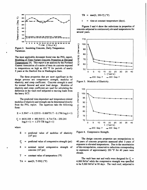

Figure 2. Insulating Concrete, Daily Temperature Variations.

The most applicable document found was the PNL report. Modeling of Time-Variant Concrete Properties at Elevated Temperatures [4]. This report is an analysis by the Portland Cement Association of a series of tests on concrete exposed to temperatures as high as 450 °F for periods of nearly 3 years at the Hanford Site in Washington State.

The three properties that are most significant in the design process are compressive strength, modulus of elasticity, and creep coefficient. Concrete strength is used for normal flexural and axial load design. Modulus of elasticity and creep coefficient are used for calculating the deflection in the vault roof subjected to moving loads from the heavy SCT.

The predicted time-dependent and temperature-related modulus of elasticity and strength can be determined directly from the PNL report. The equations take the following form:

$$
E = 5.3947 + 0.1233 S - 0.006751 T - 0.1786 \log(t+1)
$$
  
\n
$$
f'_c = 4416.338 + 490.919 S - 4.714 TA - 230.241
$$
  
\n
$$
\log_c(t+1) + 1.273 TB \log_c(t+1)
$$

where

- $E$ predicted value of modulus of elasticity  $=$  $(10^6 \,\text{psi})$
- $f_c$ predicted value of compressive strength (psi)
- S nominal initial compressive strength of  $\equiv$ concrete  $(10^3 \text{ psi})$
- $T$ constant value of temperature (°F)

$$
TA = max[0, T-350]
$$
 ( ${}^{\circ}F$ )

- TB  $= max[0, 350-T]$  (°F)
	- time at constant temperature (days).

Figures 3 and 4 show the reductions in properties of concrete subjected to continuously elevated temperatures for several years.



Figure 3. Modulus of Elasticity.



Figure 4. Compressive Strength.

The design concrete properties are extrapolations to 40 years of concrete properties measured after 3 years of exposure to elevated temperatures. Due to the uncertainties of this extrapolation, conservative reductions corresponding to exposures of approximately 250 °F for 40 years were chosen.

The vault base mat and walls were designed for  $f_c' =$  $4,000$  lbf/in<sup>2</sup> while the compressive strength was specified to be 5,000 lbf/in<sup>2</sup> at 90 days. The vault roof, subjected to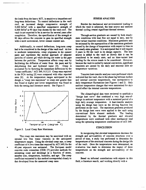**the load**s **fr**o**m the he**a**vy** S**CT, is** *s***e**n**siti**v**e to i**m**medi**a**te and S'**I**T,ESS** A**NALYSIS long-term deflections. To control deflections in the v**a**ult**  $\frac{1}{2}$  roof, an increased design compressive strength of Besides the mechanical and environmental loading to  $5.000 \text{ lbf/in}^2$  with a specified compressive strength of which the vault is subjected, the heat source and a 5,000 lbf/in<sup>2</sup> with a specified compressive strength of which the vault is subjected, the heat source and  $(6,000)$  lbf/in<sup>2</sup> at 90 days was chosen for the vault roof. The thermal cycling creates significant thermal stre  $6,000$  lbf/in<sup>2</sup> at 90 days was chosen for the vault roof. The v**a**ul**t** i**s not expected to be** i**n serv**i**ce for s**e**vera**l **years after** completion. Therefore, the specification of the strength at Through-section gradients are caused by both steady-<br>90 days allows the concrete to gain its specified strength state conditions with heat flux not equal to zero, 90 days allows the concrete to gain its specified strength state conditions with heat flux not equal to zero, and by<br>with a more economical, lower cement content mix. time-variant transient conditions. Maximum gradients ma with a more economical, lower cement content mix.

had to be considered in the design of the vault roof. At low the steady-state gradient. It is anticipated that it will require<br>to moderate temperatures, creep originates in the cement 2 years to fill the vault to its desig to moderate temperatures, creep originates in the cement 2 years to fill the vault to its design capacity. The heat<br>paste and represents the mutual approach of adjacent source is added to the vault so slowly that it can be paste and represents the mutual approach of adjacent particles of cement gel while driving out water in the gaps between the particles. Temperature affects creep rate by loading for the source needs to be considered. However, facilitating the diffusion of water from the paste and by because the vault is cooled by natural convection, facilitating the diffusion of water from the paste and by because the vault is cooled by natural convection, significant<br>dehydrating free and hydrated water [3]. Creep is transients are caused by the daily and seasonal inl dehydrating free and hydrated water [3]. Creep is transients are caused b<br>accounted for by factoring the immediate deflections by the temperature variations. **accounted for by fac**to**ring** th**e immedia**te **deflectio**ns **by** th**e** te**mpe**rat**u***r***e v**a**riatio**ns**. "cr**ee**pcoef**fi**cient," ACI 349***,* **9.5.2.5. Creep r**a**te**s **report**ed in the PCA testing [5] were compared with other reported Transient heat-transfer analyses were performed which<br>rates [6]. At the temperature ranges anticipated in the indicated that the vault, due to the phase lag between rates [6]. At the temperature ranges anticipated in the indicated that the vault, due to the phase lag between surface<br>design, a "creep rate maximum" or creep rate greater than and internal concrete temperatures, was unres design, a "creep rate maximum" or creep rate greater than and internal concrete temperatures, was unresponsive to<br>that found at higher and lower temperatures was found in daily temperature fluctuations (see Figures 1 and 2 that found at higher and lower temperatures was found in both the testing and literature search. See Figure 5.

 $\overline{c}$ 



**Figure** 5. Local Creep Rate Maximum.

concrete code committee (CEB) [7] provides methods for temperaturestimating creep and shrinkage as a function of stress, concrete. est**im**atin**g c**r**eep** an**d shrink**a**g**e a**s a func**tio**n of stress, concre**te**. m**embe**r s**ize, te**mp**era**tu**re**, humi**di**ty,** an**d age**. **The cr**ee**p** coefficient estimated by this method corresponded closely to Based on informal consultations with experts in this that developed from the measured creep rates. field, a literature search, and working directly with a

**be** es**timated by the super**po**sition of the maxi**m**u**m **g**ra**dien**t**s** Additionally, to control deflections, long-term creep caused by the change of temperature with respect to time on<br>o be considered in the design of the vault roof. At low the steady-state gradient. It is anticipated that it considered to be steady state, and no time-variant heat loading for the source needs to be considered. However,

> ambient temperature changes that were maintained for days **wo**uld **a**ffe**c**t **th**e inte**rn**al **conc**rete te**mp**e**r**a**tur**es**.**

**Th**e c**lima**to**logi**ca**l** da**ta w**ere rev**i**e**w**e**d t**o es**t**ab**li**s**h a** 2.5  $\uparrow$   $\left/\right$ *v* ch**an**g**e in** ambi**e**nt te**mpe**ratu**re** wi**th** a s**u**s**tained** p**eri**od of **a high dai**l**y** ave**rage** tem**p**era**tur**e**. A h**e**a**t**-**t**rans**f**e**r an**a**l**ys**is u*s*in**g** the **d**esign **h**eat **wa**v**e a***s* th**e d**riving functio**n** w**a**s **'**1**,5** pe**rf**ormed **o**n th**e** vault. The m**a**xim**u**m **g**r**a**di**en**ts produced conventional finite element methods. The loading o.s **de**termined **b**y th**e** th**e**rm**a**l gradi**e**nts **a**nd **e**l**e**v**at**ed temp**e**ratures w**e**r**e** combined with oth**e**r mechanical lo**a**d **o**  $\frac{1}{486}$  **o**  $\frac{1}{486}$  **u**sing the operating temperature combinations of ACI 349.

## **CONCLUSION**

In recognizing that elevated temperatures decrease the strength and serviceability of concrete structures over a This creep rate maximum may be associated with an strength and serviceability of concrete structures over a hal low free water viscosity in the anticipated period of time, a study was performed to determine the optimal low free water viscosity in the anticipated period of time, a study was performed to determine the temperature ranges. Using the elevated creep rate, a creep temperatures of the structural concrete during the desig temperature ranges. Using the elevated creep rate, a creep temperatures of the structural concrete during the design life<br>coefficient of 4 (two times that required by ACI 349) for the of the vault. Once the temperatures we coefficient of 4 (two times that required by ACI 349) for the of the vault. Once the temperatures were determined, an<br>40-vear exposure was estimated. The European model evaluation was made to determine the impact of these 40-year exposure was estimated. The European model evaluation was made to determine the impact of these concrete code committee (CEB) [7] provides methods for temperatures on the strength and serviceability of the

field, a literature search, and working directly with a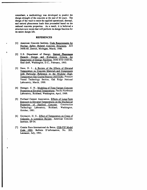consultant, a methodology was developed to predict the design strength of the concrete at the end of 40 years. The design of the vault to resist the applied operational, thermal, and natural phenomena loads then proceeded based on the reduced concrete properties. As a result, it is believed a structure now exists that will perform its design function for its entire design life.

## **REFERENCES**

[1] American Concrete Institute, Code Requirements for Nuclear Safety Related Concrete Structures, ACI 349R-85, Detroit, Michigan, March, 1986.

 $\overline{\phantom{a}}$ 

- [2] U.S. Department of Energy, Natural Phenomena Hazards Design and Evaluation Criteria for Department of Energy Facilities, DOE-STD-1020-92, final draft, Washington, D.C., February, 1993.
- [3] Naus, D. J., A Review of the Effects of Elevated Temperature on Concrete Materials and Components with Particular Reference to the Modular High-Temperature Gas-Cooled Reactor (MHTGR), Pressure Vessel Technology Section, Oak Ridge National Laboratory, March, 1988.
- [4] Henager, C. H., Modeling of Time-Variant Concrete Properties at Elevated Temperatures, Pacific Northwest Laboratory, Richland, Washington, April, 1988.
- [5] Portland Cement Association, Effects of Long-Term Exposure to Elevated Temperatures on the Mechanical Properties of Hanford Concrete, Construction Technology Laboratory, Richland, Washington, October, 1981.
- [6] Geymayer, H. G., Effect of Temperature on Creep of Concrete; A Literature Review, American Concrete Institute, SP-34.
- [7] Comite Euro-International du Beton, CEB-FIP Model Code 1990, Bulletin D'information, No. 203, Lausanne, July, 1991.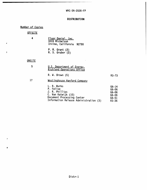## **DISTRIBUTION**

Number of Copies

OFFSITE

 $\overline{\mathbf{4}}$ 

 $\pmb{\mathcal{A}}$ 

 $\mathbf{r}$ 

 $\pmb{\epsilon}$ 

 $\pmb{\epsilon}$ 

| Fluor Daniel, Inc.<br>3333 Michelson |  |
|--------------------------------------|--|
| Irvine, California 92730             |  |
|                                      |  |

P. R. Grant (2)<br>R. S. Gruber (2)

## ONSITE

17

| 5 | U.S. Department of Energy,<br>Richland Operations Office                                                                                  |                                                                            |
|---|-------------------------------------------------------------------------------------------------------------------------------------------|----------------------------------------------------------------------------|
|   | R. W. Brown (5)                                                                                                                           | $R3 - 73$                                                                  |
|   | Westinghouse Hanford Company                                                                                                              |                                                                            |
|   | L. R. Burks<br>P. Felise<br>J. R. Phillips<br>C. Van Katwijk (10)<br>Document Processing Center<br>Information Release Administration (3) | $G6 - 14$<br>$G6 - 06$<br>$G6 - 06$<br>$G6 - 06$<br>$G6 - 51$<br>$A3 - 36$ |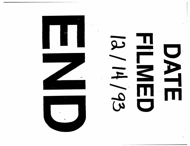



# $\overline{\mathbf{P}}$  $\overline{a}$  $\widetilde{\bm{u}}$